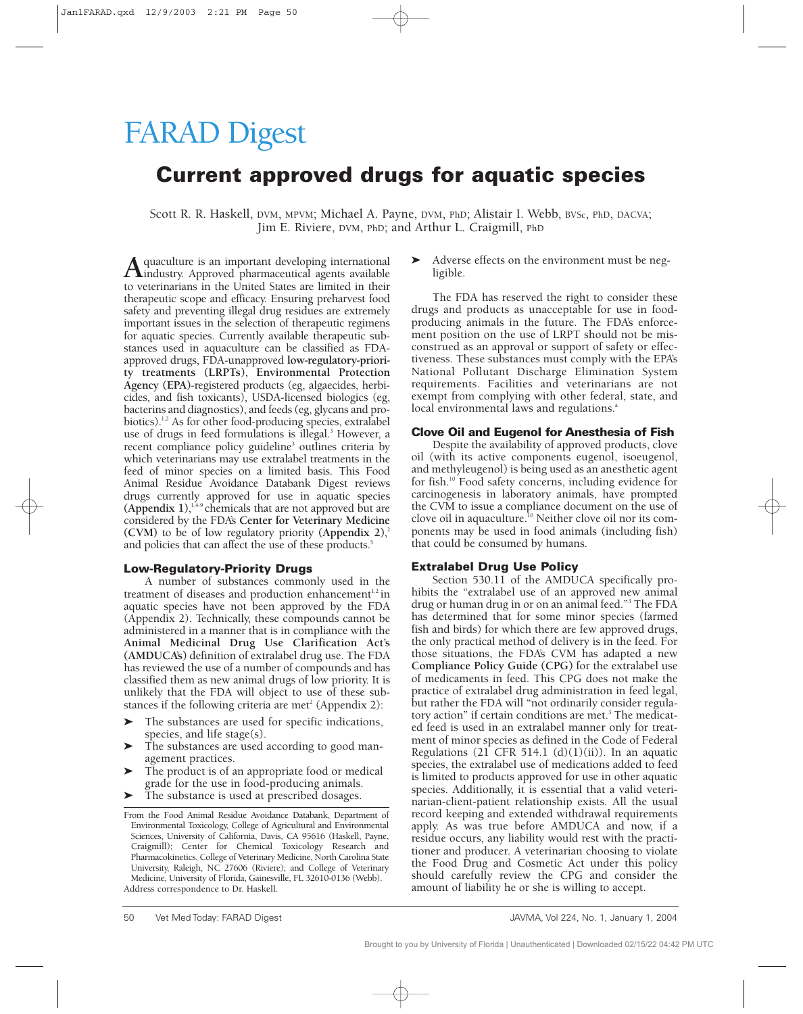# FARAD Digest

## **Current approved drugs for aquatic species**

Scott R. R. Haskell, DVM, MPVM; Michael A. Payne, DVM, PhD; Alistair I. Webb, BVSc, PhD, DACVA; Jim E. Riviere, DVM, PhD; and Arthur L. Craigmill, PhD

**A**quaculture is an important developing international<br>to veterinarisms in the United States are limited in their to veterinarians in the United States are limited in their therapeutic scope and efficacy. Ensuring preharvest food safety and preventing illegal drug residues are extremely important issues in the selection of therapeutic regimens for aquatic species. Currently available therapeutic substances used in aquaculture can be classified as FDAapproved drugs, FDA-unapproved **low-regulatory-priority treatments (LRPTs)**, **Environmental Protection Agency (EPA)**-registered products (eg, algaecides, herbicides, and fish toxicants), USDA-licensed biologics (eg, bacterins and diagnostics), and feeds (eg, glycans and probiotics).<sup>1,2</sup> As for other food-producing species, extralabel use of drugs in feed formulations is illegal.<sup>3</sup> However, a recent compliance policy guideline<sup>3</sup> outlines criteria by which veterinarians may use extralabel treatments in the feed of minor species on a limited basis. This Food Animal Residue Avoidance Databank Digest reviews drugs currently approved for use in aquatic species **(Appendix 1)**, 1,4-9 chemicals that are not approved but are considered by the FDA's **Center for Veterinary Medicine (CVM)** to be of low regulatory priority **(Appendix 2)**, 2 and policies that can affect the use of these products.<sup>5</sup>

#### **Low-Regulatory-Priority Drugs**

A number of substances commonly used in the treatment of diseases and production enhancement<sup>1,2</sup> in aquatic species have not been approved by the FDA (Appendix 2). Technically, these compounds cannot be administered in a manner that is in compliance with the **Animal Medicinal Drug Use Clarification Act's (AMDUCA's)** definition of extralabel drug use. The FDA has reviewed the use of a number of compounds and has classified them as new animal drugs of low priority. It is unlikely that the FDA will object to use of these substances if the following criteria are met<sup>2</sup> (Appendix 2):

- $\blacktriangleright$  The substances are used for specific indications, species, and life stage(s).
- $\blacktriangleright$  The substances are used according to good management practices.
- $\blacktriangleright$  The product is of an appropriate food or medical grade for the use in food-producing animals.
- $\blacktriangleright$ The substance is used at prescribed dosages.

Adverse effects on the environment must be negligible.

The FDA has reserved the right to consider these drugs and products as unacceptable for use in foodproducing animals in the future. The FDA's enforcement position on the use of LRPT should not be misconstrued as an approval or support of safety or effectiveness. These substances must comply with the EPA's National Pollutant Discharge Elimination System requirements. Facilities and veterinarians are not exempt from complying with other federal, state, and local environmental laws and regulations.<sup>a</sup>

#### **Clove Oil and Eugenol for Anesthesia of Fish**

Despite the availability of approved products, clove oil (with its active components eugenol, isoeugenol, and methyleugenol) is being used as an anesthetic agent for fish.10 Food safety concerns, including evidence for carcinogenesis in laboratory animals, have prompted the CVM to issue a compliance document on the use of clove oil in aquaculture.10 Neither clove oil nor its components may be used in food animals (including fish) that could be consumed by humans.

#### **Extralabel Drug Use Policy**

Section 530.11 of the AMDUCA specifically prohibits the "extralabel use of an approved new animal drug or human drug in or on an animal feed."3 The FDA has determined that for some minor species (farmed fish and birds) for which there are few approved drugs, the only practical method of delivery is in the feed. For those situations, the FDA's CVM has adapted a new **Compliance Policy Guide (CPG)** for the extralabel use of medicaments in feed. This CPG does not make the practice of extralabel drug administration in feed legal, but rather the FDA will "not ordinarily consider regulatory action" if certain conditions are met.<sup>3</sup> The medicated feed is used in an extralabel manner only for treatment of minor species as defined in the Code of Federal Regulations (21 CFR 514.1  $(d)(1)(ii)$ ). In an aquatic species, the extralabel use of medications added to feed is limited to products approved for use in other aquatic species. Additionally, it is essential that a valid veterinarian-client-patient relationship exists. All the usual record keeping and extended withdrawal requirements apply. As was true before AMDUCA and now, if a residue occurs, any liability would rest with the practitioner and producer. A veterinarian choosing to violate the Food Drug and Cosmetic Act under this policy should carefully review the CPG and consider the amount of liability he or she is willing to accept.

From the Food Animal Residue Avoidance Databank, Department of Environmental Toxicology, College of Agricultural and Environmental Sciences, University of California, Davis, CA 95616 (Haskell, Payne, Craigmill); Center for Chemical Toxicology Research and Pharmacokinetics, College of Veterinary Medicine, North Carolina State University, Raleigh, NC 27606 (Riviere); and College of Veterinary Medicine, University of Florida, Gainesville, FL 32610-0136 (Webb). Address correspondence to Dr. Haskell.